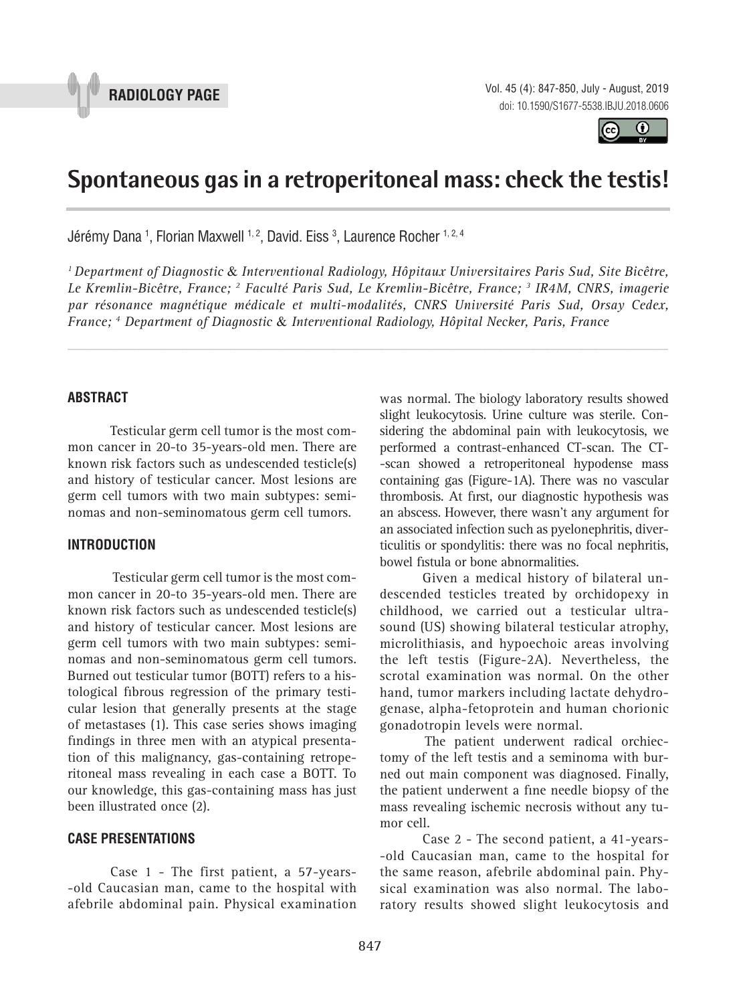



# **Spontaneous gas in a retroperitoneal mass: check the testis! \_\_\_\_\_\_\_\_\_\_\_\_\_\_\_\_\_\_\_\_\_\_\_\_\_\_\_\_\_\_\_\_\_\_\_\_\_\_\_\_\_\_\_\_\_\_\_**

Jérémy Dana <sup>1</sup>, Florian Maxwell <sup>1, 2</sup>, David. Eiss <sup>3</sup>, Laurence Rocher <sup>1, 2, 4</sup>

*1 Department of Diagnostic* & *Interventional Radiology, Hôpitaux Universitaires Paris Sud, Site Bicêtre, Le Kremlin-Bicêtre, France; 2 Faculté Paris Sud, Le Kremlin-Bicêtre, France; 3 IR4M, CNRS, imagerie par résonance magnétique médicale et multi-modalités, CNRS Université Paris Sud, Orsay Cedex, France; 4 Department of Diagnostic* & *Interventional Radiology, Hôpital Necker, Paris, France*

*\_\_\_\_\_\_\_\_\_\_\_\_\_\_\_\_\_\_\_\_\_\_\_\_\_\_\_\_\_\_\_\_\_\_\_\_\_\_\_\_\_\_\_\_\_\_\_\_\_\_\_\_\_\_\_\_\_\_\_\_\_\_\_\_\_\_\_\_\_\_\_\_\_\_\_\_\_\_\_\_\_\_\_\_\_\_\_*

### **ABSTRACT**

Testicular germ cell tumor is the most common cancer in 20-to 35-years-old men. There are known risk factors such as undescended testicle(s) and history of testicular cancer. Most lesions are germ cell tumors with two main subtypes: seminomas and non-seminomatous germ cell tumors.

### **INTRODUCTION**

Testicular germ cell tumor is the most common cancer in 20-to 35-years-old men. There are known risk factors such as undescended testicle(s) and history of testicular cancer. Most lesions are germ cell tumors with two main subtypes: seminomas and non-seminomatous germ cell tumors. Burned out testicular tumor (BOTT) refers to a histological fibrous regression of the primary testicular lesion that generally presents at the stage of metastases (1). This case series shows imaging findings in three men with an atypical presentation of this malignancy, gas-containing retroperitoneal mass revealing in each case a BOTT. To our knowledge, this gas-containing mass has just been illustrated once (2).

## **CASE PRESENTATIONS**

Case 1 - The first patient, a 57-years- -old Caucasian man, came to the hospital with afebrile abdominal pain. Physical examination was normal. The biology laboratory results showed slight leukocytosis. Urine culture was sterile. Considering the abdominal pain with leukocytosis, we performed a contrast-enhanced CT-scan. The CT- -scan showed a retroperitoneal hypodense mass containing gas (Figure-1A). There was no vascular thrombosis. At first, our diagnostic hypothesis was an abscess. However, there wasn't any argument for an associated infection such as pyelonephritis, diverticulitis or spondylitis: there was no focal nephritis, bowel fistula or bone abnormalities.

Given a medical history of bilateral undescended testicles treated by orchidopexy in childhood, we carried out a testicular ultrasound (US) showing bilateral testicular atrophy, microlithiasis, and hypoechoic areas involving the left testis (Figure-2A). Nevertheless, the scrotal examination was normal. On the other hand, tumor markers including lactate dehydrogenase, alpha-fetoprotein and human chorionic gonadotropin levels were normal.

The patient underwent radical orchiectomy of the left testis and a seminoma with burned out main component was diagnosed. Finally, the patient underwent a fine needle biopsy of the mass revealing ischemic necrosis without any tumor cell.

Case 2 - The second patient, a 41-years- -old Caucasian man, came to the hospital for the same reason, afebrile abdominal pain. Physical examination was also normal. The laboratory results showed slight leukocytosis and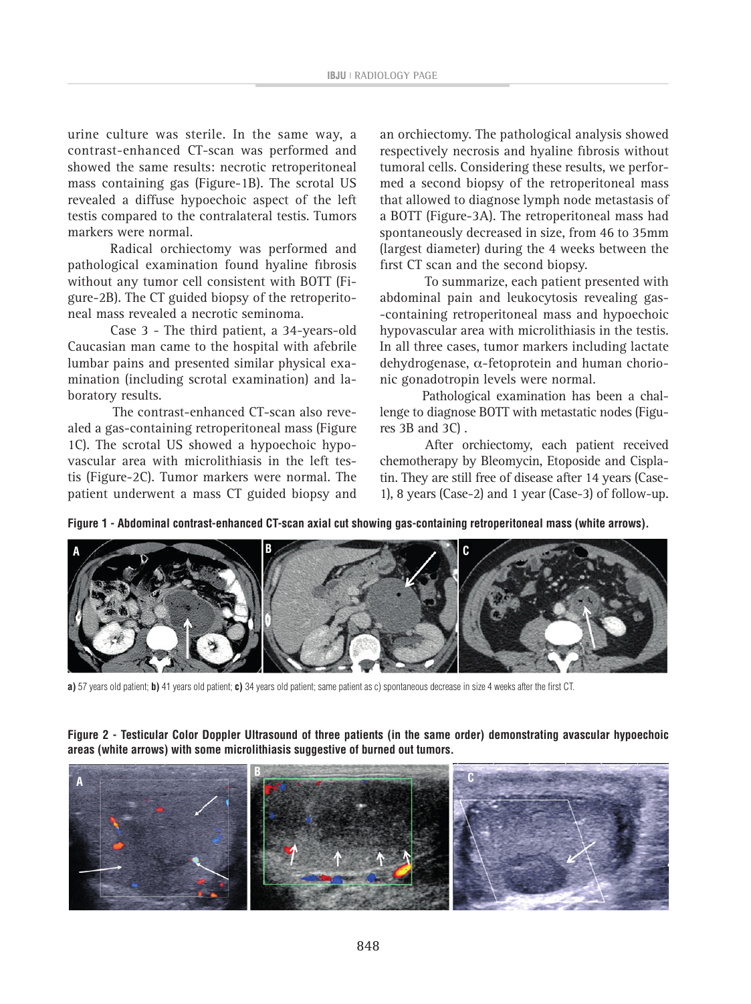urine culture was sterile. In the same way, a contrast-enhanced CT-scan was performed and showed the same results: necrotic retroperitoneal mass containing gas (Figure-1B). The scrotal US revealed a diffuse hypoechoic aspect of the left testis compared to the contralateral testis. Tumors markers were normal.

Radical orchiectomy was performed and pathological examination found hyaline fibrosis without any tumor cell consistent with BOTT (Figure-2B). The CT guided biopsy of the retroperitoneal mass revealed a necrotic seminoma.

Case 3 - The third patient, a 34-years-old Caucasian man came to the hospital with afebrile lumbar pains and presented similar physical examination (including scrotal examination) and laboratory results.

 The contrast-enhanced CT-scan also revealed a gas-containing retroperitoneal mass (Figure 1C). The scrotal US showed a hypoechoic hypovascular area with microlithiasis in the left testis (Figure-2C). Tumor markers were normal. The patient underwent a mass CT guided biopsy and

an orchiectomy. The pathological analysis showed respectively necrosis and hyaline fibrosis without tumoral cells. Considering these results, we performed a second biopsy of the retroperitoneal mass that allowed to diagnose lymph node metastasis of a BOTT (Figure-3A). The retroperitoneal mass had spontaneously decreased in size, from 46 to 35mm (largest diameter) during the 4 weeks between the first CT scan and the second biopsy.

 To summarize, each patient presented with abdominal pain and leukocytosis revealing gas- -containing retroperitoneal mass and hypoechoic hypovascular area with microlithiasis in the testis. In all three cases, tumor markers including lactate dehydrogenase, α-fetoprotein and human chorionic gonadotropin levels were normal.

Pathological examination has been a challenge to diagnose BOTT with metastatic nodes (Figures 3B and 3C) .

 After orchiectomy, each patient received chemotherapy by Bleomycin, Etoposide and Cisplatin. They are still free of disease after 14 years (Case-1), 8 years (Case-2) and 1 year (Case-3) of follow-up.

**Figure 1 - Abdominal contrast-enhanced CT-scan axial cut showing gas-containing retroperitoneal mass (white arrows).**



**a)** 57 years old patient; **b)** 41 years old patient; **c)** 34 years old patient; same patient as c) spontaneous decrease in size 4 weeks after the first CT.

**Figure 2 - Testicular Color Doppler Ultrasound of three patients (in the same order) demonstrating avascular hypoechoic areas (white arrows) with some microlithiasis suggestive of burned out tumors.**

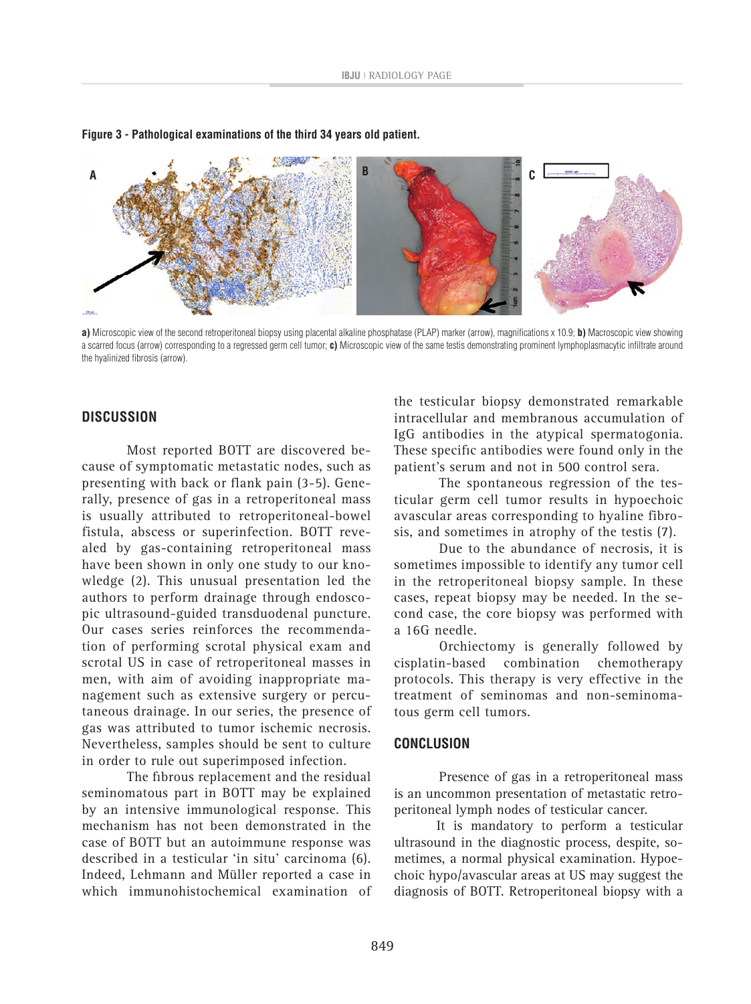

#### **Figure 3 - Pathological examinations of the third 34 years old patient.**

**a)** Microscopic view of the second retroperitoneal biopsy using placental alkaline phosphatase (PLAP) marker (arrow), magnifi cations x 10.9; **b)** Macroscopic view showing a scarred focus (arrow) corresponding to a regressed germ cell tumor; c) Microscopic view of the same testis demonstrating prominent lymphoplasmacytic infiltrate around the hyalinized fibrosis (arrow).

#### **DISCUSSION**

 Most reported BOTT are discovered because of symptomatic metastatic nodes, such as presenting with back or flank pain (3-5). Generally, presence of gas in a retroperitoneal mass is usually attributed to retroperitoneal-bowel fistula, abscess or superinfection. BOTT revealed by gas-containing retroperitoneal mass have been shown in only one study to our knowledge (2). This unusual presentation led the authors to perform drainage through endoscopic ultrasound-guided transduodenal puncture. Our cases series reinforces the recommendation of performing scrotal physical exam and scrotal US in case of retroperitoneal masses in men, with aim of avoiding inappropriate management such as extensive surgery or percutaneous drainage. In our series, the presence of gas was attributed to tumor ischemic necrosis. Nevertheless, samples should be sent to culture in order to rule out superimposed infection.

The fibrous replacement and the residual seminomatous part in BOTT may be explained by an intensive immunological response. This mechanism has not been demonstrated in the case of BOTT but an autoimmune response was described in a testicular 'in situ' carcinoma (6). Indeed, Lehmann and Müller reported a case in which immunohistochemical examination of

the testicular biopsy demonstrated remarkable intracellular and membranous accumulation of IgG antibodies in the atypical spermatogonia. These specific antibodies were found only in the patient's serum and not in 500 control sera.

 The spontaneous regression of the testicular germ cell tumor results in hypoechoic avascular areas corresponding to hyaline fibrosis, and sometimes in atrophy of the testis (7).

 Due to the abundance of necrosis, it is sometimes impossible to identify any tumor cell in the retroperitoneal biopsy sample. In these cases, repeat biopsy may be needed. In the second case, the core biopsy was performed with a 16G needle.

 Orchiectomy is generally followed by cisplatin-based combination chemotherapy protocols. This therapy is very effective in the treatment of seminomas and non-seminomatous germ cell tumors.

#### **CONCLUSION**

 Presence of gas in a retroperitoneal mass is an uncommon presentation of metastatic retroperitoneal lymph nodes of testicular cancer.

It is mandatory to perform a testicular ultrasound in the diagnostic process, despite, sometimes, a normal physical examination. Hypoechoic hypo/avascular areas at US may suggest the diagnosis of BOTT. Retroperitoneal biopsy with a